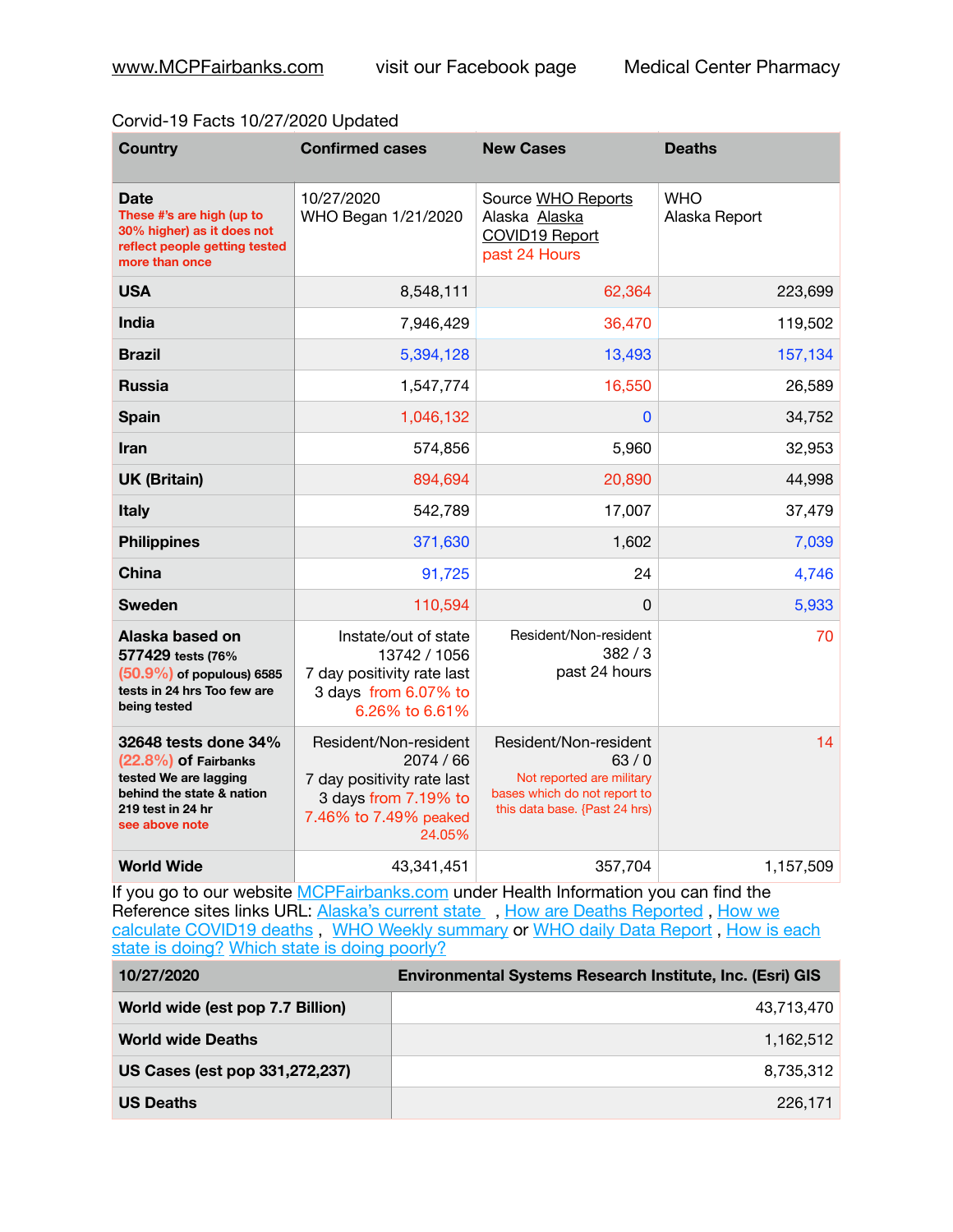## Corvid-19 Facts 10/27/2020 Updated

| <b>Country</b>                                                                                                                            | <b>Confirmed cases</b>                                                                                                      | <b>New Cases</b>                                                                                                            | <b>Deaths</b>               |
|-------------------------------------------------------------------------------------------------------------------------------------------|-----------------------------------------------------------------------------------------------------------------------------|-----------------------------------------------------------------------------------------------------------------------------|-----------------------------|
| Date<br>These #'s are high (up to<br>30% higher) as it does not<br>reflect people getting tested<br>more than once                        | 10/27/2020<br>WHO Began 1/21/2020                                                                                           | Source WHO Reports<br>Alaska Alaska<br><b>COVID19 Report</b><br>past 24 Hours                                               | <b>WHO</b><br>Alaska Report |
| <b>USA</b>                                                                                                                                | 8,548,111                                                                                                                   | 62,364                                                                                                                      | 223,699                     |
| <b>India</b>                                                                                                                              | 7,946,429                                                                                                                   | 36,470                                                                                                                      | 119,502                     |
| <b>Brazil</b>                                                                                                                             | 5,394,128                                                                                                                   | 13,493                                                                                                                      | 157,134                     |
| <b>Russia</b>                                                                                                                             | 1,547,774                                                                                                                   | 16,550                                                                                                                      | 26,589                      |
| <b>Spain</b>                                                                                                                              | 1,046,132                                                                                                                   | 0                                                                                                                           | 34,752                      |
| Iran                                                                                                                                      | 574,856                                                                                                                     | 5,960                                                                                                                       | 32,953                      |
| <b>UK (Britain)</b>                                                                                                                       | 894,694                                                                                                                     | 20,890                                                                                                                      | 44,998                      |
| <b>Italy</b>                                                                                                                              | 542,789                                                                                                                     | 17,007                                                                                                                      | 37,479                      |
| <b>Philippines</b>                                                                                                                        | 371,630                                                                                                                     | 1,602                                                                                                                       | 7,039                       |
| <b>China</b>                                                                                                                              | 91,725                                                                                                                      | 24                                                                                                                          | 4,746                       |
| <b>Sweden</b>                                                                                                                             | 110,594                                                                                                                     | 0                                                                                                                           | 5,933                       |
| Alaska based on<br>577429 tests (76%<br>$(50.9\%)$ of populous) 6585<br>tests in 24 hrs Too few are<br>being tested                       | Instate/out of state<br>13742 / 1056<br>7 day positivity rate last<br>3 days from 6.07% to<br>6.26% to 6.61%                | Resident/Non-resident<br>382/3<br>past 24 hours                                                                             | 70                          |
| 32648 tests done 34%<br>(22.8%) of Fairbanks<br>tested We are lagging<br>behind the state & nation<br>219 test in 24 hr<br>see above note | Resident/Non-resident<br>2074 / 66<br>7 day positivity rate last<br>3 days from 7.19% to<br>7.46% to 7.49% peaked<br>24.05% | Resident/Non-resident<br>63/0<br>Not reported are military<br>bases which do not report to<br>this data base. {Past 24 hrs) | 14                          |
| <b>World Wide</b>                                                                                                                         | 43,341,451                                                                                                                  | 357,704                                                                                                                     | 1,157,509                   |

If you go to our website [MCPFairbanks.com](http://www.MCPFairbanks.com) under Health Information you can find the Reference sites links URL: [Alaska's current state](https://coronavirus-response-alaska-dhss.hub.arcgis.com) , How are Deaths Reported, How we [calculate COVID19 deaths](https://coronavirus-response-alaska-dhss.hub.arcgis.com/search?collection=Document&groupIds=41ccb3344ebc4bd682c74073eba21f42), [WHO Weekly summary](http://www.who.int) or WHO daily Data Report, How is each [state is doing?](https://www.msn.com/en-us/news/us/state-by-state-coronavirus-news/ar-BB13E1PX?fbclid=IwAR0_OBJH7lSyTN3ug_MsOeFnNgB1orTa9OBgilKJ7dhnwlVvHEsptuKkj1c) [Which state is doing poorly?](https://bestlifeonline.com/covid-outbreak-your-state/?utm_source=nsltr&utm_medium=email&utm_content=covid-outbreak-your-state&utm_campaign=launch)

| 10/27/2020                       | <b>Environmental Systems Research Institute, Inc. (Esri) GIS</b> |
|----------------------------------|------------------------------------------------------------------|
| World wide (est pop 7.7 Billion) | 43,713,470                                                       |
| <b>World wide Deaths</b>         | 1.162.512                                                        |
| US Cases (est pop 331,272,237)   | 8,735,312                                                        |
| <b>US Deaths</b>                 | 226.171                                                          |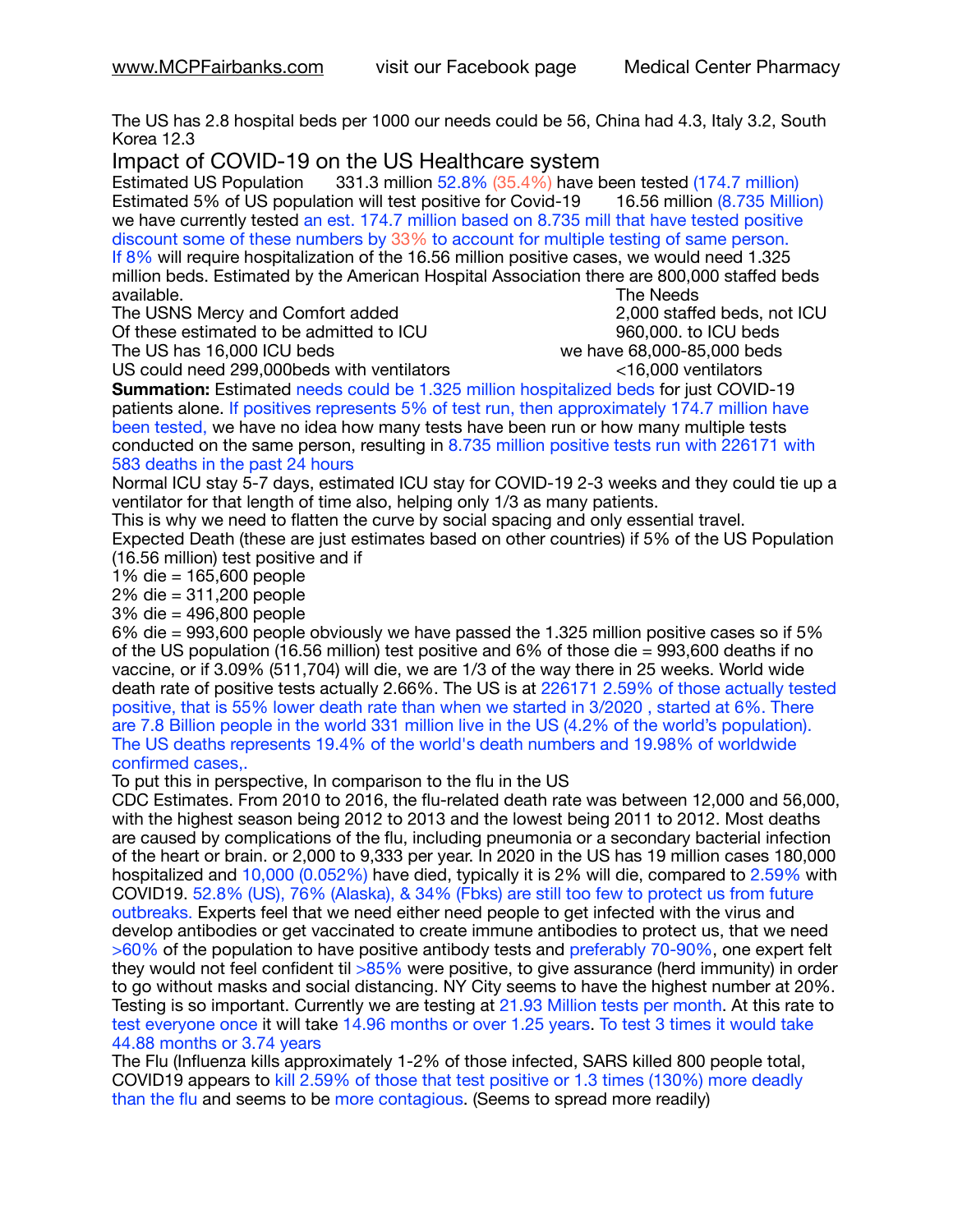The US has 2.8 hospital beds per 1000 our needs could be 56, China had 4.3, Italy 3.2, South Korea 12.3

Impact of COVID-19 on the US Healthcare system<br>Estimated US Population 331.3 million 52.8% (35.4%) have t

331.3 million 52.8% (35.4%) have been tested (174.7 million) Estimated 5% of US population will test positive for Covid-19 16.56 million (8.735 Million) we have currently tested an est. 174.7 million based on 8.735 mill that have tested positive discount some of these numbers by 33% to account for multiple testing of same person. If 8% will require hospitalization of the 16.56 million positive cases, we would need 1.325 million beds. Estimated by the American Hospital Association there are 800,000 staffed beds available. **The Needs Contract Contract Contract Contract Contract Contract Contract Contract Contract Contract Contract Contract Contract Contract Contract Contract Contract Contract Contract Contract Contract Contract** 

The USNS Mercy and Comfort added 2,000 staffed beds, not ICU Of these estimated to be admitted to ICU **860,000**. to ICU beds

The US has  $16,000$  ICU beds  $\sim$   $\sim$   $\sim$   $\sim$   $\sim$  we have 68,000-85,000 beds

US could need 299,000beds with ventilators <16,000 ventilators

**Summation:** Estimated needs could be 1.325 million hospitalized beds for just COVID-19 patients alone. If positives represents 5% of test run, then approximately 174.7 million have been tested, we have no idea how many tests have been run or how many multiple tests conducted on the same person, resulting in 8.735 million positive tests run with 226171 with 583 deaths in the past 24 hours

Normal ICU stay 5-7 days, estimated ICU stay for COVID-19 2-3 weeks and they could tie up a ventilator for that length of time also, helping only 1/3 as many patients.

This is why we need to flatten the curve by social spacing and only essential travel.

Expected Death (these are just estimates based on other countries) if 5% of the US Population (16.56 million) test positive and if

1% die = 165,600 people

2% die = 311,200 people

3% die = 496,800 people

6% die = 993,600 people obviously we have passed the 1.325 million positive cases so if 5% of the US population (16.56 million) test positive and 6% of those die = 993,600 deaths if no vaccine, or if 3.09% (511,704) will die, we are 1/3 of the way there in 25 weeks. World wide death rate of positive tests actually 2.66%. The US is at 226171 2.59% of those actually tested positive, that is 55% lower death rate than when we started in 3/2020 , started at 6%. There are 7.8 Billion people in the world 331 million live in the US (4.2% of the world's population). The US deaths represents 19.4% of the world's death numbers and 19.98% of worldwide confirmed cases,.

To put this in perspective, In comparison to the flu in the US

CDC Estimates. From 2010 to 2016, the flu-related death rate was between 12,000 and 56,000, with the highest season being 2012 to 2013 and the lowest being 2011 to 2012. Most deaths are caused by complications of the flu, including pneumonia or a secondary bacterial infection of the heart or brain. or 2,000 to 9,333 per year. In 2020 in the US has 19 million cases 180,000 hospitalized and 10,000 (0.052%) have died, typically it is 2% will die, compared to 2.59% with COVID19. 52.8% (US), 76% (Alaska), & 34% (Fbks) are still too few to protect us from future outbreaks. Experts feel that we need either need people to get infected with the virus and develop antibodies or get vaccinated to create immune antibodies to protect us, that we need >60% of the population to have positive antibody tests and preferably 70-90%, one expert felt they would not feel confident til >85% were positive, to give assurance (herd immunity) in order to go without masks and social distancing. NY City seems to have the highest number at 20%. Testing is so important. Currently we are testing at 21.93 Million tests per month. At this rate to test everyone once it will take 14.96 months or over 1.25 years. To test 3 times it would take 44.88 months or 3.74 years

The Flu (Influenza kills approximately 1-2% of those infected, SARS killed 800 people total, COVID19 appears to kill 2.59% of those that test positive or 1.3 times (130%) more deadly than the flu and seems to be more contagious. (Seems to spread more readily)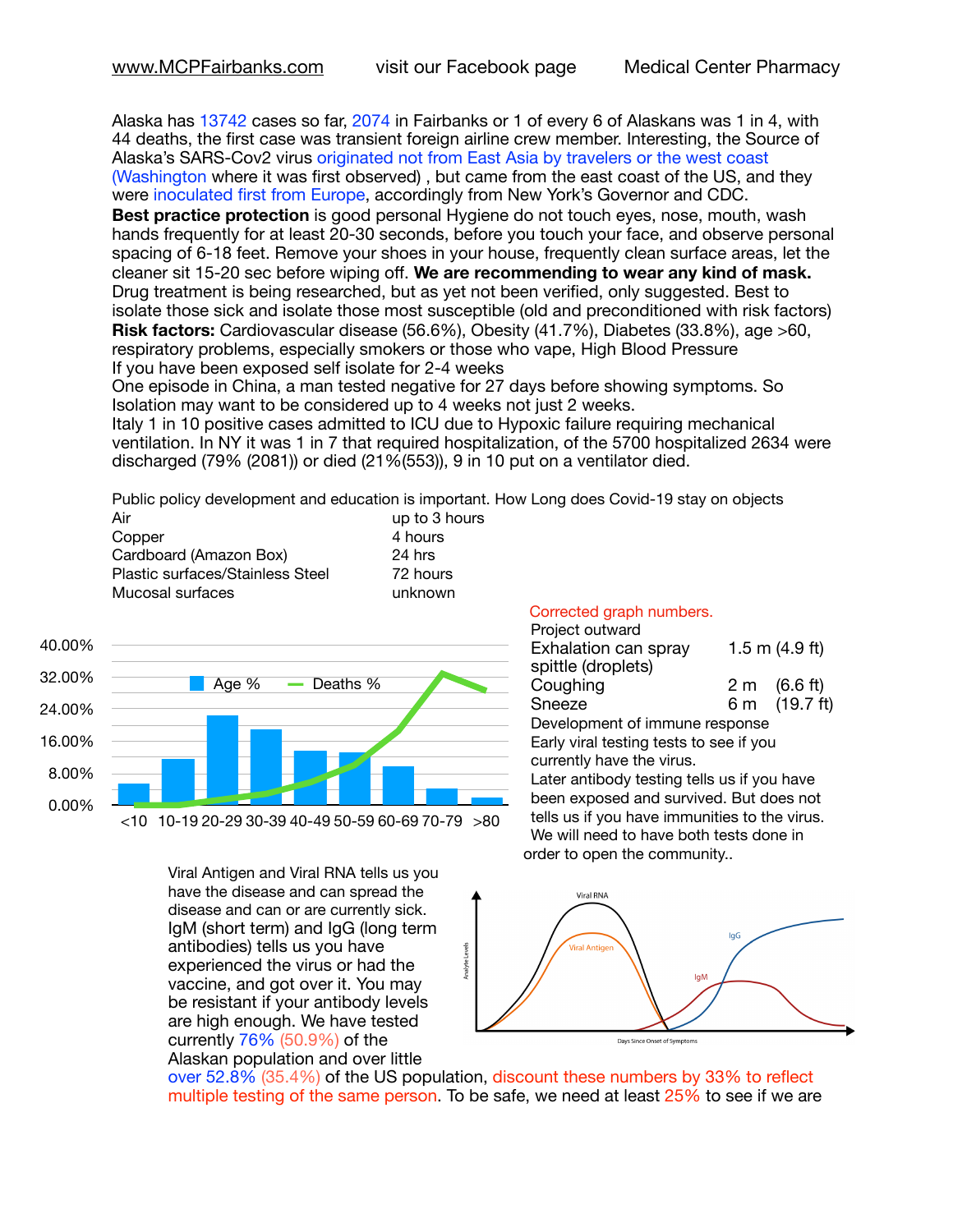Alaska has 13742 cases so far, 2074 in Fairbanks or 1 of every 6 of Alaskans was 1 in 4, with 44 deaths, the first case was transient foreign airline crew member. Interesting, the Source of Alaska's SARS-Cov2 virus originated not from East Asia by travelers or the west coast (Washington where it was first observed) , but came from the east coast of the US, and they were inoculated first from Europe, accordingly from New York's Governor and CDC.

**Best practice protection** is good personal Hygiene do not touch eyes, nose, mouth, wash hands frequently for at least 20-30 seconds, before you touch your face, and observe personal spacing of 6-18 feet. Remove your shoes in your house, frequently clean surface areas, let the cleaner sit 15-20 sec before wiping off. **We are recommending to wear any kind of mask.** Drug treatment is being researched, but as yet not been verified, only suggested. Best to isolate those sick and isolate those most susceptible (old and preconditioned with risk factors) **Risk factors:** Cardiovascular disease (56.6%), Obesity (41.7%), Diabetes (33.8%), age >60, respiratory problems, especially smokers or those who vape, High Blood Pressure If you have been exposed self isolate for 2-4 weeks

One episode in China, a man tested negative for 27 days before showing symptoms. So Isolation may want to be considered up to 4 weeks not just 2 weeks.

Italy 1 in 10 positive cases admitted to ICU due to Hypoxic failure requiring mechanical ventilation. In NY it was 1 in 7 that required hospitalization, of the 5700 hospitalized 2634 were discharged (79% (2081)) or died (21%(553)), 9 in 10 put on a ventilator died.

Public policy development and education is important. How Long does Covid-19 stay on objects to 3 hours

| Air                              | up to 3 h |
|----------------------------------|-----------|
| Copper                           | 4 hours   |
| Cardboard (Amazon Box)           | 24 hrs    |
| Plastic surfaces/Stainless Steel | 72 hours  |
| Mucosal surfaces                 | unknown   |
|                                  |           |



Viral Antigen and Viral RNA tells us you have the disease and can spread the disease and can or are currently sick. IgM (short term) and IgG (long term antibodies) tells us you have experienced the virus or had the vaccine, and got over it. You may be resistant if your antibody levels are high enough. We have tested currently 76% (50.9%) of the Alaskan population and over little

Corrected graph numbers.

| Project outward                         |  |                  |  |  |
|-----------------------------------------|--|------------------|--|--|
| Exhalation can spray                    |  | 1.5 m $(4.9$ ft) |  |  |
| spittle (droplets)                      |  |                  |  |  |
| Coughing                                |  | 2 m (6.6 ft)     |  |  |
| Sneeze                                  |  | 6 m (19.7 ft)    |  |  |
| Development of immune response          |  |                  |  |  |
| Early viral testing tests to see if you |  |                  |  |  |

currently have the virus. Later antibody testing tells us if you have been exposed and survived. But does not tells us if you have immunities to the virus. We will need to have both tests done in order to open the community..



over 52.8% (35.4%) of the US population, discount these numbers by 33% to reflect multiple testing of the same person. To be safe, we need at least  $25\%$  to see if we are